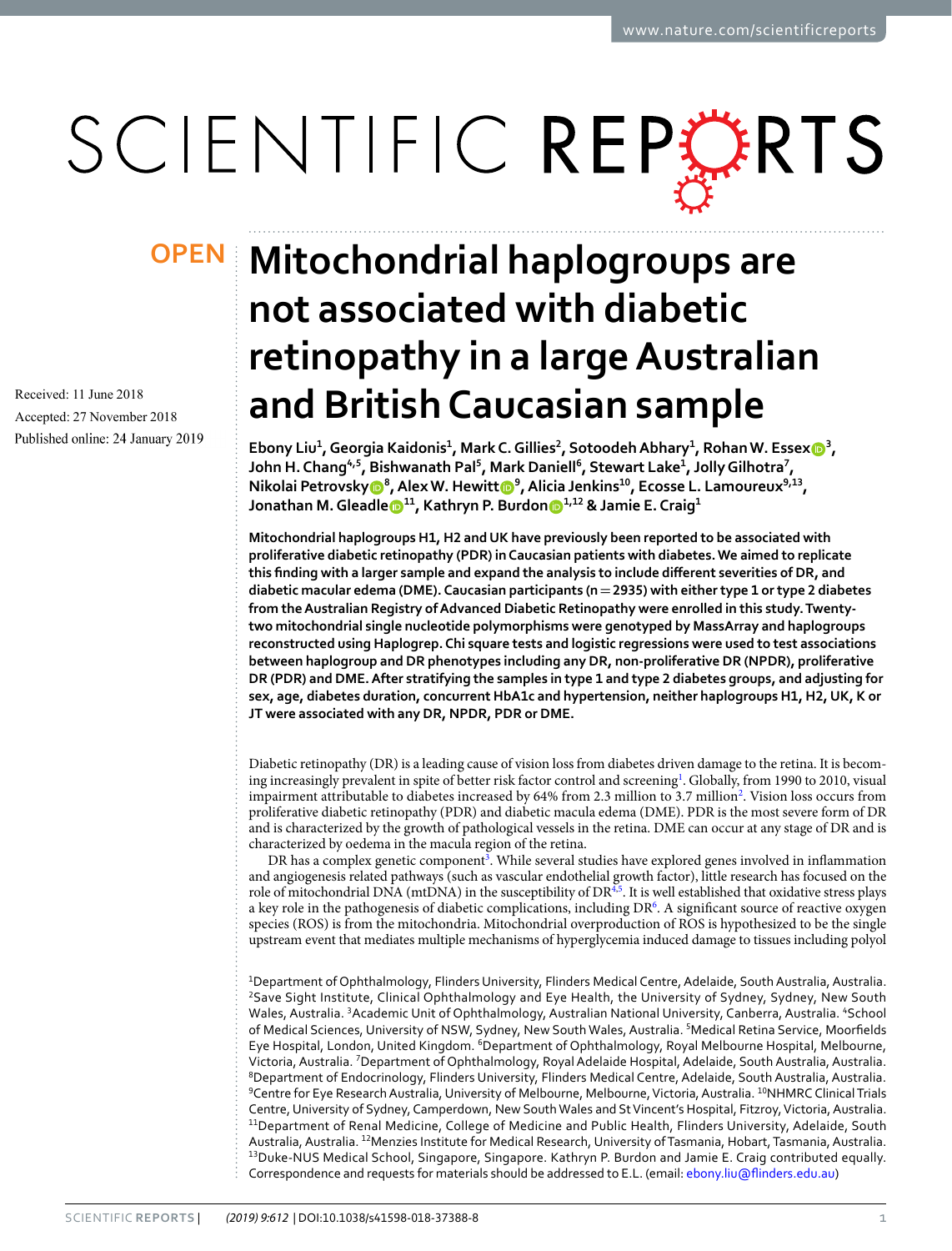# SCIENTIFIC REPERTS

Received: 11 June 2018 Accepted: 27 November 2018 Published online: 24 January 2019

## **Mitochondrial haplogroups are OPENnot associated with diabetic retinopathy in a large Australian and British Caucasian sample**

**Ebony Liu<sup>1</sup>, Georgia Kaidonis<sup>1</sup>, Mark C.Gillies<sup>2</sup>, SotoodehAbhary<sup>1</sup>, RohanW. Essex <sup>3</sup>, John H. Chang4,5, Bishwanath Pal<sup>5</sup>, Mark Daniell<sup>6</sup>, Stewart Lake<sup>1</sup>, JollyGilhotra<sup>7</sup>, Nikolai Petrovsky <sup>8</sup>, AlexW. Hewitt <sup>9</sup>, Alicia Jenkins<sup>10</sup>, Ecosse L. Lamoureux9,13, Jonathan M.Gleadle <sup>11</sup>, Kathryn P. Burdon 1,12 & Jamie E. Craig<sup>1</sup>**

**Mitochondrial haplogroups H1, H2 and UK have previously been reported to be associated with proliferative diabetic retinopathy (PDR) in Caucasian patients with diabetes. We aimed to replicate this fnding with a larger sample and expand the analysis to include diferent severities of DR, and diabetic macular edema (DME). Caucasian participants (n=2935) with either type 1 or type 2 diabetes from the Australian Registry of Advanced Diabetic Retinopathy were enrolled in this study. Twentytwo mitochondrial single nucleotide polymorphisms were genotyped by MassArray and haplogroups reconstructed using Haplogrep. Chi square tests and logistic regressions were used to test associations between haplogroup and DR phenotypes including any DR, non-proliferative DR (NPDR), proliferative DR (PDR) and DME. After stratifying the samples in type 1 and type 2 diabetes groups, and adjusting for sex, age, diabetes duration, concurrent HbA1c and hypertension, neither haplogroups H1, H2, UK, K or JT were associated with any DR, NPDR, PDR or DME.**

Diabetic retinopathy (DR) is a leading cause of vision loss from diabetes driven damage to the retina. It is becoming increasingly prevalent in spite of better risk factor control and screening<sup>1</sup>. Globally, from 1990 to 2010, visual impairment attributable to diabetes increased by 64% from [2](#page-5-1).3 million to 3.7 million<sup>2</sup>. Vision loss occurs from proliferative diabetic retinopathy (PDR) and diabetic macula edema (DME). PDR is the most severe form of DR and is characterized by the growth of pathological vessels in the retina. DME can occur at any stage of DR and is characterized by oedema in the macula region of the retina.

DR has a complex genetic component<sup>[3](#page-5-2)</sup>. While several studies have explored genes involved in inflammation and angiogenesis related pathways (such as vascular endothelial growth factor), little research has focused on the role of mitochondrial DNA (mtDNA) in the susceptibility of DR<sup>[4](#page-5-3),[5](#page-5-4)</sup>. It is well established that oxidative stress plays a key role in the pathogenesis of diabetic complications, including DR<sup>6</sup>. A significant source of reactive oxygen species (ROS) is from the mitochondria. Mitochondrial overproduction of ROS is hypothesized to be the single upstream event that mediates multiple mechanisms of hyperglycemia induced damage to tissues including polyol

1 Department of Ophthalmology, Flinders University, Flinders Medical Centre, Adelaide, South Australia, Australia. <sup>2</sup>Save Sight Institute, Clinical Ophthalmology and Eye Health, the University of Sydney, Sydney, New South Wales, Australia. <sup>3</sup>Academic Unit of Ophthalmology, Australian National University, Canberra, Australia. <sup>4</sup>School of Medical Sciences, University of NSW, Sydney, New South Wales, Australia. <sup>5</sup>Medical Retina Service, Moorfields Eye Hospital, London, United Kingdom. <sup>6</sup>Department of Ophthalmology, Royal Melbourne Hospital, Melbourne, Victoria, Australia. <sup>7</sup> Department of Ophthalmology, Royal Adelaide Hospital, Adelaide, South Australia, Australia. 8 Department of Endocrinology, Flinders University, Flinders Medical Centre, Adelaide, South Australia, Australia. <sup>9</sup>Centre for Eye Research Australia, University of Melbourne, Melbourne, Victoria, Australia. <sup>10</sup>NHMRC Clinical Trials Centre, University of Sydney, Camperdown, New South Wales and St Vincent's Hospital, Fitzroy, Victoria, Australia. <sup>11</sup>Department of Renal Medicine, College of Medicine and Public Health, Flinders University, Adelaide, South Australia, Australia. 12Menzies Institute for Medical Research, University of Tasmania, Hobart, Tasmania, Australia. 13Duke-NUS Medical School, Singapore, Singapore. Kathryn P. Burdon and Jamie E. Craig contributed equally. Correspondence and requests for materials should be addressed to E.L. (email: [ebony.liu@finders.edu.au](mailto:ebony.liu@flinders.edu.au))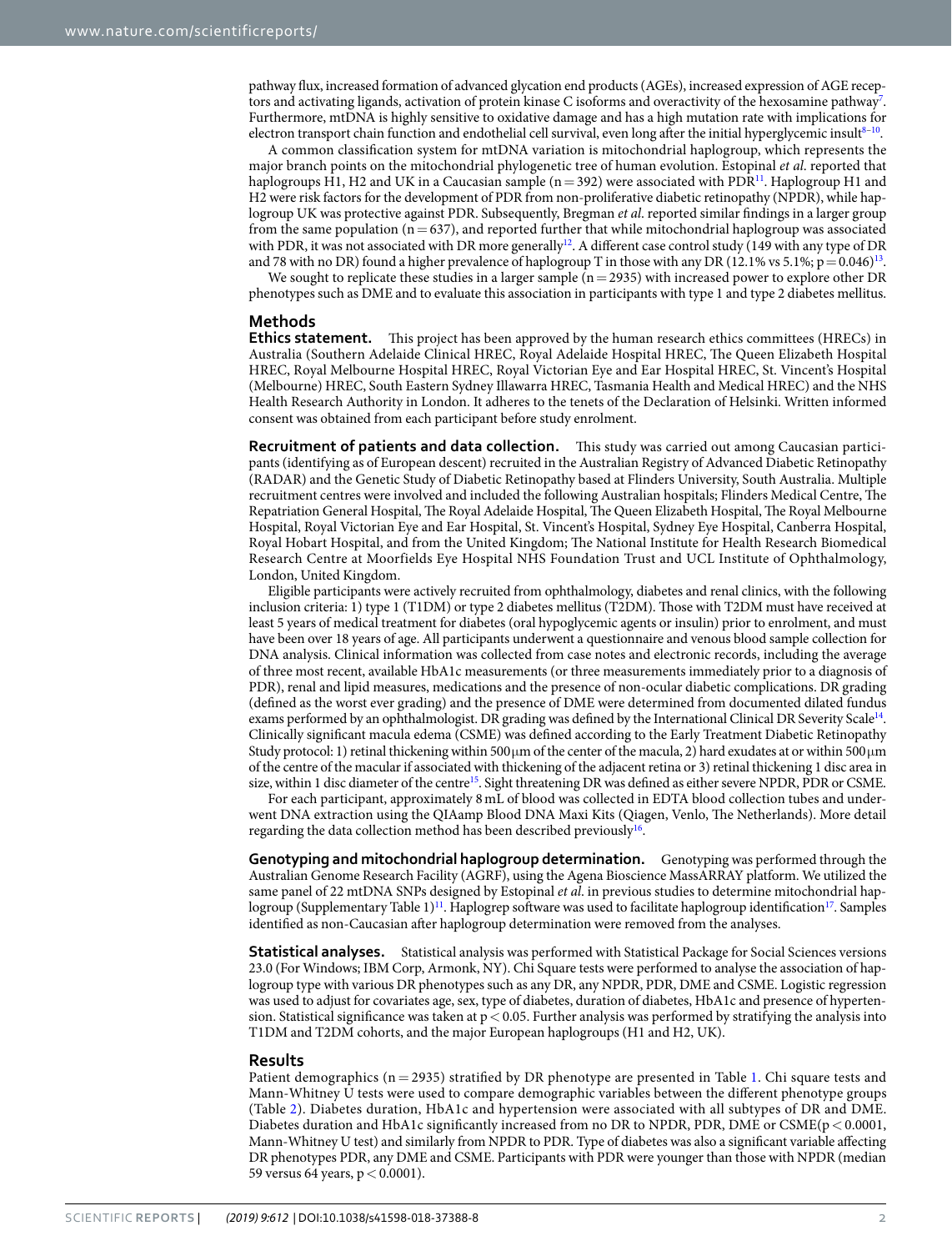pathway fux, increased formation of advanced glycation end products (AGEs), increased expression of AGE recep-tors and activating ligands, activation of protein kinase C isoforms and overactivity of the hexosamine pathway<sup>[7](#page-5-6)</sup>. Furthermore, mtDNA is highly sensitive to oxidative damage and has a high mutation rate with implications for electron transport chain function and endothelial cell survival, even long after the initial hyperglycemic insult<sup>8–10</sup>.

A common classifcation system for mtDNA variation is mitochondrial haplogroup, which represents the major branch points on the mitochondrial phylogenetic tree of human evolution. Estopinal *et al*. reported that haplogroups H1, H2 and UK in a Caucasian sample ( $n=392$ ) were associated with PDR<sup>11</sup>. Haplogroup H1 and H2 were risk factors for the development of PDR from non-proliferative diabetic retinopathy (NPDR), while haplogroup UK was protective against PDR. Subsequently, Bregman *et al*. reported similar fndings in a larger group from the same population ( $n=637$ ), and reported further that while mitochondrial haplogroup was associated with PDR, it was not associated with DR more generally<sup>12</sup>. A different case control study (149 with any type of DR and 78 with no DR) found a higher prevalence of haplogroup T in those with any DR (12.1% vs 5.1%;  $p=0.046$ )<sup>13</sup>.

We sought to replicate these studies in a larger sample  $(n=2935)$  with increased power to explore other DR phenotypes such as DME and to evaluate this association in participants with type 1 and type 2 diabetes mellitus.

### **Methods**

**Ethics statement.** This project has been approved by the human research ethics committees (HRECs) in Australia (Southern Adelaide Clinical HREC, Royal Adelaide Hospital HREC, The Queen Elizabeth Hospital HREC, Royal Melbourne Hospital HREC, Royal Victorian Eye and Ear Hospital HREC, St. Vincent's Hospital (Melbourne) HREC, South Eastern Sydney Illawarra HREC, Tasmania Health and Medical HREC) and the NHS Health Research Authority in London. It adheres to the tenets of the Declaration of Helsinki. Written informed consent was obtained from each participant before study enrolment.

**Recruitment of patients and data collection.** This study was carried out among Caucasian participants (identifying as of European descent) recruited in the Australian Registry of Advanced Diabetic Retinopathy (RADAR) and the Genetic Study of Diabetic Retinopathy based at Flinders University, South Australia. Multiple recruitment centres were involved and included the following Australian hospitals; Flinders Medical Centre, Te Repatriation General Hospital, The Royal Adelaide Hospital, The Queen Elizabeth Hospital, The Royal Melbourne Hospital, Royal Victorian Eye and Ear Hospital, St. Vincent's Hospital, Sydney Eye Hospital, Canberra Hospital, Royal Hobart Hospital, and from the United Kingdom; The National Institute for Health Research Biomedical Research Centre at Moorfields Eye Hospital NHS Foundation Trust and UCL Institute of Ophthalmology, London, United Kingdom.

Eligible participants were actively recruited from ophthalmology, diabetes and renal clinics, with the following inclusion criteria: 1) type 1 (T1DM) or type 2 diabetes mellitus (T2DM). Tose with T2DM must have received at least 5 years of medical treatment for diabetes (oral hypoglycemic agents or insulin) prior to enrolment, and must have been over 18 years of age. All participants underwent a questionnaire and venous blood sample collection for DNA analysis. Clinical information was collected from case notes and electronic records, including the average of three most recent, available HbA1c measurements (or three measurements immediately prior to a diagnosis of PDR), renal and lipid measures, medications and the presence of non-ocular diabetic complications. DR grading (defned as the worst ever grading) and the presence of DME were determined from documented dilated fundus exams performed by an ophthalmologist. DR grading was defined by the International Clinical DR Severity Scale<sup>14</sup>. Clinically signifcant macula edema (CSME) was defned according to the Early Treatment Diabetic Retinopathy Study protocol: 1) retinal thickening within 500  $\mu$ m of the center of the macula, 2) hard exudates at or within 500  $\mu$ m of the centre of the macular if associated with thickening of the adjacent retina or 3) retinal thickening 1 disc area in size, within 1 disc diameter of the centre<sup>15</sup>. Sight threatening DR was defined as either severe NPDR, PDR or CSME.

For each participant, approximately 8mL of blood was collected in EDTA blood collection tubes and underwent DNA extraction using the QIAamp Blood DNA Maxi Kits (Qiagen, Venlo, The Netherlands). More detail regarding the data collection method has been described previously<sup>16</sup>.

**Genotyping and mitochondrial haplogroup determination.** Genotyping was performed through the Australian Genome Research Facility (AGRF), using the Agena Bioscience MassARRAY platform. We utilized the same panel of 22 mtDNA SNPs designed by Estopinal *et al*. in previous studies to determine mitochondrial haplogroup (Supplementary Table 1)<sup>11</sup>. Haplogrep software was used to facilitate haplogroup identification<sup>17</sup>. Samples identifed as non-Caucasian afer haplogroup determination were removed from the analyses.

**Statistical analyses.** Statistical analysis was performed with Statistical Package for Social Sciences versions 23.0 (For Windows; IBM Corp, Armonk, NY). Chi Square tests were performed to analyse the association of haplogroup type with various DR phenotypes such as any DR, any NPDR, PDR, DME and CSME. Logistic regression was used to adjust for covariates age, sex, type of diabetes, duration of diabetes, HbA1c and presence of hypertension. Statistical significance was taken at  $p < 0.05$ . Further analysis was performed by stratifying the analysis into T1DM and T2DM cohorts, and the major European haplogroups (H1 and H2, UK).

#### **Results**

Patient demographics ( $n = 2935$ ) stratified by DR phenotype are presented in Table [1](#page-2-0). Chi square tests and Mann-Whitney U tests were used to compare demographic variables between the diferent phenotype groups (Table [2\)](#page-2-1). Diabetes duration, HbA1c and hypertension were associated with all subtypes of DR and DME. Diabetes duration and HbA1c significantly increased from no DR to NPDR, PDR, DME or CSME(p < 0.0001, Mann-Whitney U test) and similarly from NPDR to PDR. Type of diabetes was also a signifcant variable afecting DR phenotypes PDR, any DME and CSME. Participants with PDR were younger than those with NPDR (median 59 versus 64 years,  $p < 0.0001$ ).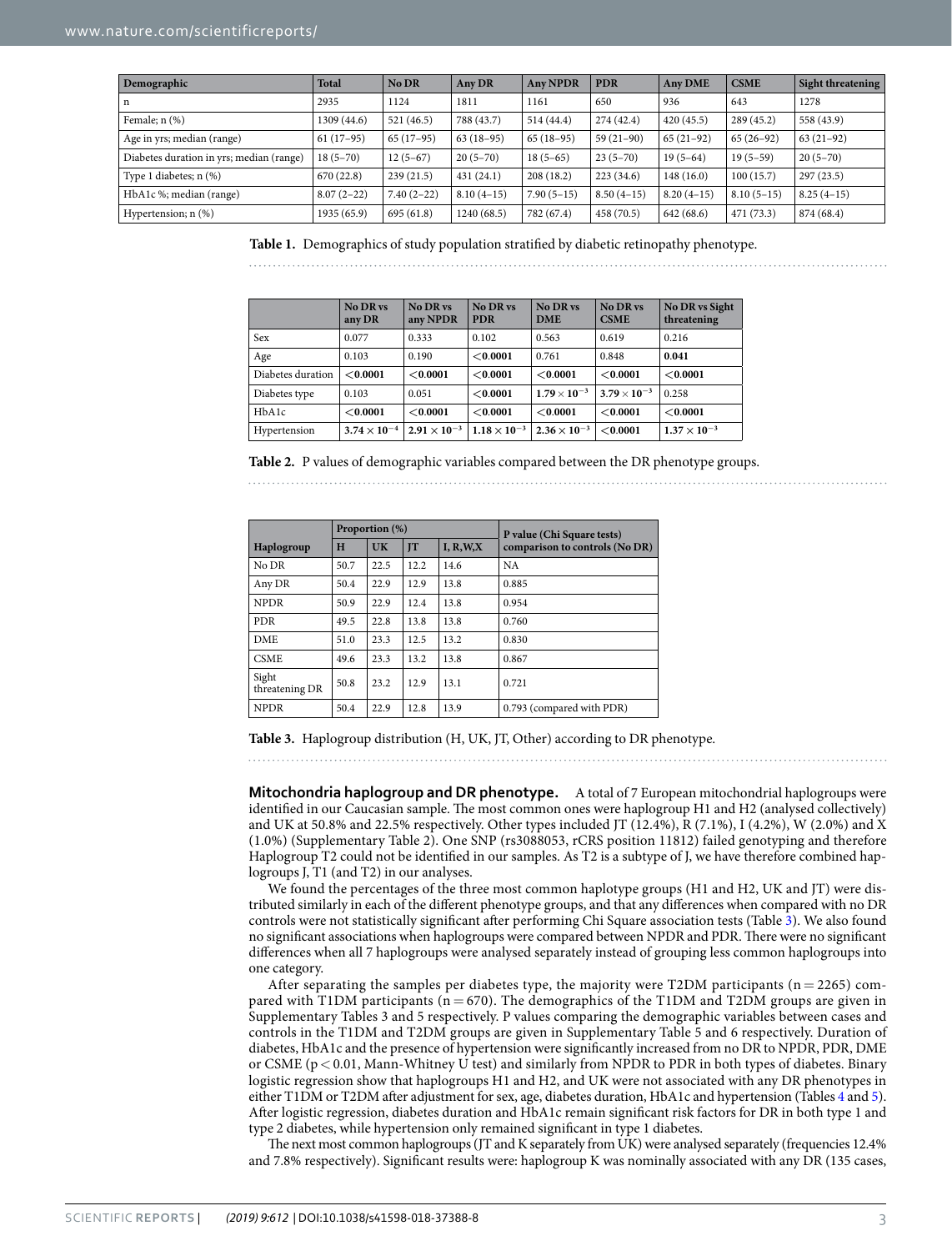<span id="page-2-0"></span>

| Demographic                              | <b>Total</b> | No DR        | Any DR       | <b>Any NPDR</b> | <b>PDR</b>   | <b>Any DME</b> | <b>CSME</b>  | <b>Sight threatening</b> |
|------------------------------------------|--------------|--------------|--------------|-----------------|--------------|----------------|--------------|--------------------------|
| n                                        | 2935         | 1124         | 1811         | 1161            | 650          | 936            | 643          | 1278                     |
| Female; $n$ $(\%)$                       | 1309 (44.6)  | 521 (46.5)   | 788 (43.7)   | 514 (44.4)      | 274 (42.4)   | 420(45.5)      | 289(45.2)    | 558 (43.9)               |
| Age in yrs; median (range)               | $61(17-95)$  | $65(17-95)$  | $63(18-95)$  | $65(18-95)$     | $59(21-90)$  | $65(21-92)$    | $65(26-92)$  | $63(21-92)$              |
| Diabetes duration in yrs; median (range) | $18(5-70)$   | $12(5-67)$   | $20(5-70)$   | $18(5-65)$      | $23(5-70)$   | $19(5-64)$     | $19(5-59)$   | $20(5-70)$               |
| Type 1 diabetes; $n$ $%$                 | 670 (22.8)   | 239(21.5)    | 431(24.1)    | 208(18.2)       | 223(34.6)    | 148(16.0)      | 100(15.7)    | 297(23.5)                |
| HbA1c %; median (range)                  | $8.07(2-22)$ | $7.40(2-22)$ | $8.10(4-15)$ | $7.90(5-15)$    | $8.50(4-15)$ | $8.20(4-15)$   | $8.10(5-15)$ | $8.25(4-15)$             |
| Hypertension; $n$ $(\%)$                 | 1935 (65.9)  | 695 (61.8)   | 1240 (68.5)  | 782 (67.4)      | 458 (70.5)   | 642 (68.6)     | 471 (73.3)   | 874 (68.4)               |

**Table 1.** Demographics of study population stratifed by diabetic retinopathy phenotype.

<span id="page-2-1"></span>

|                   | No DR vs<br>any DR | No DR vs<br>any NPDR                          | No DR vs<br><b>PDR</b> | No DR vs<br><b>DME</b> | No DR vs<br><b>CSME</b> | No DR vs Sight<br>threatening |
|-------------------|--------------------|-----------------------------------------------|------------------------|------------------------|-------------------------|-------------------------------|
| Sex               | 0.077              | 0.333                                         | 0.102                  | 0.563                  | 0.619                   | 0.216                         |
| Age               | 0.103              | 0.190                                         | < 0.0001               | 0.761                  | 0.848                   | 0.041                         |
| Diabetes duration | < 0.0001           | < 0.0001                                      | < 0.0001               | < 0.0001               | < 0.0001                | < 0.0001                      |
| Diabetes type     | 0.103              | 0.051                                         | < 0.0001               | $1.79 \times 10^{-3}$  | $3.79 \times 10^{-3}$   | 0.258                         |
| HbA1c             | < 0.0001           | < 0.0001                                      | < 0.0001               | < 0.0001               | < 0.0001                | < 0.0001                      |
| Hypertension      |                    | $3.74 \times 10^{-4}$   $2.91 \times 10^{-3}$ | $1.18 \times 10^{-3}$  | $2.36 \times 10^{-3}$  | < 0.0001                | $1.37\times10^{-3}$           |

**Table 2.** P values of demographic variables compared between the DR phenotype groups.

<span id="page-2-2"></span>

|                         | Proportion (%) |      |           |            | P value (Chi Square tests)     |  |  |
|-------------------------|----------------|------|-----------|------------|--------------------------------|--|--|
| Haplogroup              | H              | UK   | <b>IT</b> | I, R, W, X | comparison to controls (No DR) |  |  |
| No DR                   | 50.7           | 22.5 | 12.2      | 14.6       | <b>NA</b>                      |  |  |
| Any DR                  | 50.4           | 22.9 | 12.9      | 13.8       | 0.885                          |  |  |
| <b>NPDR</b>             | 50.9           | 22.9 | 12.4      | 13.8       | 0.954                          |  |  |
| <b>PDR</b>              | 49.5           | 22.8 | 13.8      | 13.8       | 0.760                          |  |  |
| DME                     | 51.0           | 23.3 | 12.5      | 13.2       | 0.830                          |  |  |
| <b>CSME</b>             | 49.6           | 23.3 | 13.2      | 13.8       | 0.867                          |  |  |
| Sight<br>threatening DR | 50.8           | 23.2 | 12.9      | 13.1       | 0.721                          |  |  |
| <b>NPDR</b>             | 50.4           | 22.9 | 12.8      | 13.9       | 0.793 (compared with PDR)      |  |  |

**Table 3.** Haplogroup distribution (H, UK, JT, Other) according to DR phenotype.

**Mitochondria haplogroup and DR phenotype.** A total of 7 European mitochondrial haplogroups were identified in our Caucasian sample. The most common ones were haplogroup H1 and H2 (analysed collectively) and UK at 50.8% and 22.5% respectively. Other types included JT (12.4%), R (7.1%), I (4.2%), W (2.0%) and X (1.0%) (Supplementary Table 2). One SNP (rs3088053, rCRS position 11812) failed genotyping and therefore Haplogroup T2 could not be identifed in our samples. As T2 is a subtype of J, we have therefore combined haplogroups J, T1 (and T2) in our analyses.

We found the percentages of the three most common haplotype groups (H1 and H2, UK and JT) were distributed similarly in each of the diferent phenotype groups, and that any diferences when compared with no DR controls were not statistically signifcant afer performing Chi Square association tests (Table [3\)](#page-2-2). We also found no significant associations when haplogroups were compared between NPDR and PDR. There were no significant diferences when all 7 haplogroups were analysed separately instead of grouping less common haplogroups into one category.

After separating the samples per diabetes type, the majority were T2DM participants ( $n = 2265$ ) compared with T1DM participants ( $n = 670$ ). The demographics of the T1DM and T2DM groups are given in Supplementary Tables 3 and 5 respectively. P values comparing the demographic variables between cases and controls in the T1DM and T2DM groups are given in Supplementary Table 5 and 6 respectively. Duration of diabetes, HbA1c and the presence of hypertension were signifcantly increased from no DR to NPDR, PDR, DME or CSME (p < 0.01, Mann-Whitney U test) and similarly from NPDR to PDR in both types of diabetes. Binary logistic regression show that haplogroups H1 and H2, and UK were not associated with any DR phenotypes in either T1DM or T2DM after adjustment for sex, age, diabetes duration, HbA1c and hypertension (Tables [4](#page-3-0) and [5\)](#page-4-0). Afer logistic regression, diabetes duration and HbA1c remain signifcant risk factors for DR in both type 1 and type 2 diabetes, while hypertension only remained signifcant in type 1 diabetes.

The next most common haplogroups (JT and K separately from UK) were analysed separately (frequencies 12.4% and 7.8% respectively). Signifcant results were: haplogroup K was nominally associated with any DR (135 cases,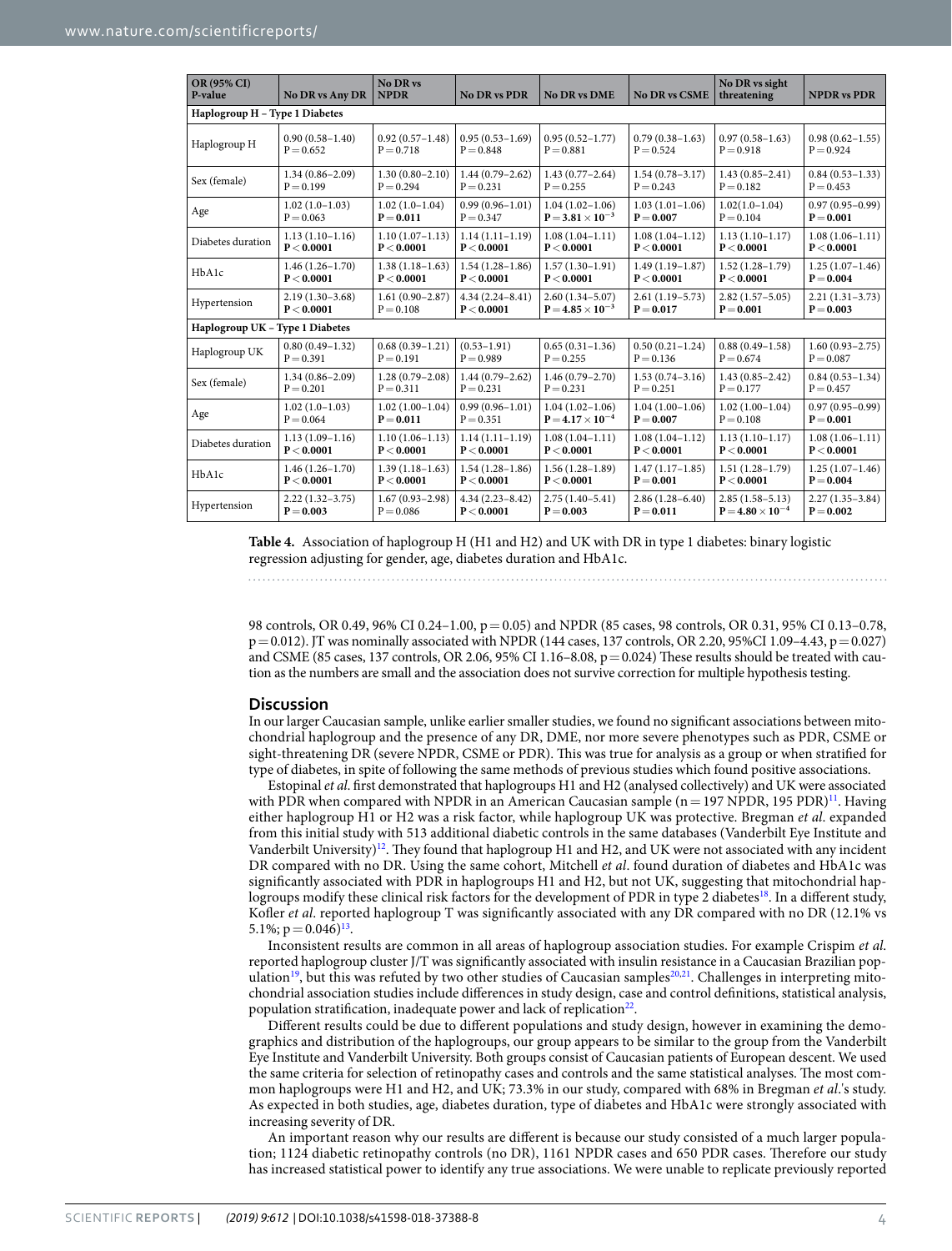<span id="page-3-0"></span>

| OR (95% CI)<br>P-value          | <b>No DR vs Any DR</b> | No DR vs<br><b>NPDR</b> | <b>No DR vs PDR</b> | <b>No DR vs DME</b>       | <b>No DR vs CSME</b> | No DR vs sight<br>threatening | <b>NPDR</b> vs PDR  |  |  |  |
|---------------------------------|------------------------|-------------------------|---------------------|---------------------------|----------------------|-------------------------------|---------------------|--|--|--|
| Haplogroup H - Type 1 Diabetes  |                        |                         |                     |                           |                      |                               |                     |  |  |  |
| Haplogroup H                    | $0.90(0.58 - 1.40)$    | $0.92(0.57-1.48)$       | $0.95(0.53 - 1.69)$ | $0.95(0.52 - 1.77)$       | $0.79(0.38-1.63)$    | $0.97(0.58 - 1.63)$           | $0.98(0.62 - 1.55)$ |  |  |  |
|                                 | $P = 0.652$            | $P = 0.718$             | $P = 0.848$         | $P = 0.881$               | $P = 0.524$          | $P = 0.918$                   | $P = 0.924$         |  |  |  |
| Sex (female)                    | $1.34(0.86 - 2.09)$    | $1.30(0.80 - 2.10)$     | $1.44(0.79-2.62)$   | $1.43(0.77-2.64)$         | $1.54(0.78 - 3.17)$  | $1.43(0.85 - 2.41)$           | $0.84(0.53 - 1.33)$ |  |  |  |
|                                 | $P = 0.199$            | $P = 0.294$             | $P = 0.231$         | $P = 0.255$               | $P = 0.243$          | $P = 0.182$                   | $P = 0.453$         |  |  |  |
| Age                             | $1.02(1.0-1.03)$       | $1.02(1.0-1.04)$        | $0.99(0.96 - 1.01)$ | $1.04(1.02 - 1.06)$       | $1.03(1.01-1.06)$    | $1.02(1.0-1.04)$              | $0.97(0.95 - 0.99)$ |  |  |  |
|                                 | $P = 0.063$            | $P = 0.011$             | $P = 0.347$         | $P = 3.81 \times 10^{-3}$ | $P = 0.007$          | $P = 0.104$                   | $P = 0.001$         |  |  |  |
| Diabetes duration               | $1.13(1.10-1.16)$      | $1.10(1.07-1.13)$       | $1.14(1.11-1.19)$   | $1.08(1.04-1.11)$         | $1.08(1.04-1.12)$    | $1.13(1.10-1.17)$             | $1.08(1.06-1.11)$   |  |  |  |
|                                 | P < 0.0001             | P < 0.0001              | P < 0.0001          | P < 0.0001                | P < 0.0001           | P < 0.0001                    | P < 0.0001          |  |  |  |
| HbA1c                           | $1.46(1.26-1.70)$      | $1.38(1.18-1.63)$       | $1.54(1.28-1.86)$   | $1.57(1.30-1.91)$         | $1.49(1.19-1.87)$    | $1.52(1.28-1.79)$             | $1.25(1.07-1.46)$   |  |  |  |
|                                 | P < 0.0001             | P < 0.0001              | P < 0.0001          | P < 0.0001                | P < 0.0001           | P < 0.0001                    | $P = 0.004$         |  |  |  |
| Hypertension                    | $2.19(1.30-3.68)$      | $1.61(0.90 - 2.87)$     | $4.34(2.24 - 8.41)$ | $2.60(1.34 - 5.07)$       | $2.61(1.19-5.73)$    | $2.82(1.57-5.05)$             | $2.21(1.31-3.73)$   |  |  |  |
|                                 | P < 0.0001             | $P = 0.108$             | P < 0.0001          | $P = 4.85 \times 10^{-3}$ | $P = 0.017$          | $P = 0.001$                   | $P = 0.003$         |  |  |  |
| Haplogroup UK - Type 1 Diabetes |                        |                         |                     |                           |                      |                               |                     |  |  |  |
| Haplogroup UK                   | $0.80(0.49-1.32)$      | $0.68(0.39-1.21)$       | $(0.53 - 1.91)$     | $0.65(0.31-1.36)$         | $0.50(0.21-1.24)$    | $0.88(0.49 - 1.58)$           | $1.60(0.93 - 2.75)$ |  |  |  |
|                                 | $P = 0.391$            | $P = 0.191$             | $P = 0.989$         | $P = 0.255$               | $P = 0.136$          | $P = 0.674$                   | $P = 0.087$         |  |  |  |
| Sex (female)                    | $1.34(0.86 - 2.09)$    | $1.28(0.79-2.08)$       | $1.44(0.79 - 2.62)$ | $1.46(0.79-2.70)$         | $1.53(0.74-3.16)$    | $1.43(0.85 - 2.42)$           | $0.84(0.53 - 1.34)$ |  |  |  |
|                                 | $P = 0.201$            | $P = 0.311$             | $P = 0.231$         | $P = 0.231$               | $P = 0.251$          | $P = 0.177$                   | $P = 0.457$         |  |  |  |
| Age                             | $1.02(1.0-1.03)$       | $1.02(1.00-1.04)$       | $0.99(0.96 - 1.01)$ | $1.04(1.02 - 1.06)$       | $1.04(1.00-1.06)$    | $1.02(1.00-1.04)$             | $0.97(0.95 - 0.99)$ |  |  |  |
|                                 | $P = 0.064$            | $P = 0.011$             | $P = 0.351$         | $P = 4.17 \times 10^{-4}$ | $P = 0.007$          | $P = 0.108$                   | $P = 0.001$         |  |  |  |
| Diabetes duration               | $1.13(1.09-1.16)$      | $1.10(1.06 - 1.13)$     | $1.14(1.11-1.19)$   | $1.08(1.04-1.11)$         | $1.08(1.04-1.12)$    | $1.13(1.10-1.17)$             | $1.08(1.06-1.11)$   |  |  |  |
|                                 | P < 0.0001             | P < 0.0001              | P < 0.0001          | P < 0.0001                | P < 0.0001           | P < 0.0001                    | P < 0.0001          |  |  |  |
| HbA1c                           | $1.46(1.26-1.70)$      | $1.39(1.18-1.63)$       | $1.54(1.28-1.86)$   | $1.56(1.28-1.89)$         | $1.47(1.17-1.85)$    | $1.51(1.28-1.79)$             | $1.25(1.07-1.46)$   |  |  |  |
|                                 | P < 0.0001             | P < 0.0001              | P < 0.0001          | P < 0.0001                | $P = 0.001$          | P < 0.0001                    | $P = 0.004$         |  |  |  |
| Hypertension                    | $2.22(1.32 - 3.75)$    | $1.67(0.93 - 2.98)$     | $4.34(2.23 - 8.42)$ | $2.75(1.40-5.41)$         | $2.86(1.28 - 6.40)$  | $2.85(1.58 - 5.13)$           | $2.27(1.35-3.84)$   |  |  |  |
|                                 | $P = 0.003$            | $P = 0.086$             | P < 0.0001          | $P = 0.003$               | $P = 0.011$          | $P = 4.80 \times 10^{-4}$     | $P = 0.002$         |  |  |  |

**Table 4.** Association of haplogroup H (H1 and H2) and UK with DR in type 1 diabetes: binary logistic regression adjusting for gender, age, diabetes duration and HbA1c.

98 controls, OR 0.49, 96% CI 0.24–1.00, p=0.05) and NPDR (85 cases, 98 controls, OR 0.31, 95% CI 0.13–0.78,  $p=0.012$ ). JT was nominally associated with NPDR (144 cases, 137 controls, OR 2.20, 95%CI 1.09–4.43,  $p=0.027$ ) and CSME (85 cases, 137 controls, OR 2.06, 95% CI 1.16-8.08, p=0.024) These results should be treated with caution as the numbers are small and the association does not survive correction for multiple hypothesis testing.

#### **Discussion**

In our larger Caucasian sample, unlike earlier smaller studies, we found no signifcant associations between mitochondrial haplogroup and the presence of any DR, DME, nor more severe phenotypes such as PDR, CSME or sight-threatening DR (severe NPDR, CSME or PDR). This was true for analysis as a group or when stratified for type of diabetes, in spite of following the same methods of previous studies which found positive associations.

Estopinal *et al*. frst demonstrated that haplogroups H1 and H2 (analysed collectively) and UK were associated with PDR when compared with NPDR in an American Caucasian sample ( $n=197$  NPDR, 195 PDR)<sup>[11](#page-5-9)</sup>. Having either haplogroup H1 or H2 was a risk factor, while haplogroup UK was protective. Bregman *et al*. expanded from this initial study with 513 additional diabetic controls in the same databases (Vanderbilt Eye Institute and Vanderbilt University)<sup>[12](#page-5-10)</sup>. They found that haplogroup H1 and H2, and UK were not associated with any incident DR compared with no DR. Using the same cohort, Mitchell *et al*. found duration of diabetes and HbA1c was signifcantly associated with PDR in haplogroups H1 and H2, but not UK, suggesting that mitochondrial haplogroups modify these clinical risk factors for the development of PDR in type 2 diabetes<sup>18</sup>. In a different study, Kofler *et al.* reported haplogroup T was significantly associated with any DR compared with no DR (12.1% vs 5.1%;  $p = 0.046$ <sup>13</sup>.

Inconsistent results are common in all areas of haplogroup association studies. For example Crispim *et al*. reported haplogroup cluster J/T was signifcantly associated with insulin resistance in a Caucasian Brazilian pop-ulation<sup>[19](#page-5-17)</sup>, but this was refuted by two other studies of Caucasian samples<sup>20,[21](#page-5-19)</sup>. Challenges in interpreting mitochondrial association studies include diferences in study design, case and control defnitions, statistical analysis, population stratification, inadequate power and lack of replication<sup>22</sup>.

Diferent results could be due to diferent populations and study design, however in examining the demographics and distribution of the haplogroups, our group appears to be similar to the group from the Vanderbilt Eye Institute and Vanderbilt University. Both groups consist of Caucasian patients of European descent. We used the same criteria for selection of retinopathy cases and controls and the same statistical analyses. The most common haplogroups were H1 and H2, and UK; 73.3% in our study, compared with 68% in Bregman *et al*.'s study. As expected in both studies, age, diabetes duration, type of diabetes and HbA1c were strongly associated with increasing severity of DR.

An important reason why our results are diferent is because our study consisted of a much larger population; 1124 diabetic retinopathy controls (no DR), 1161 NPDR cases and 650 PDR cases. Therefore our study has increased statistical power to identify any true associations. We were unable to replicate previously reported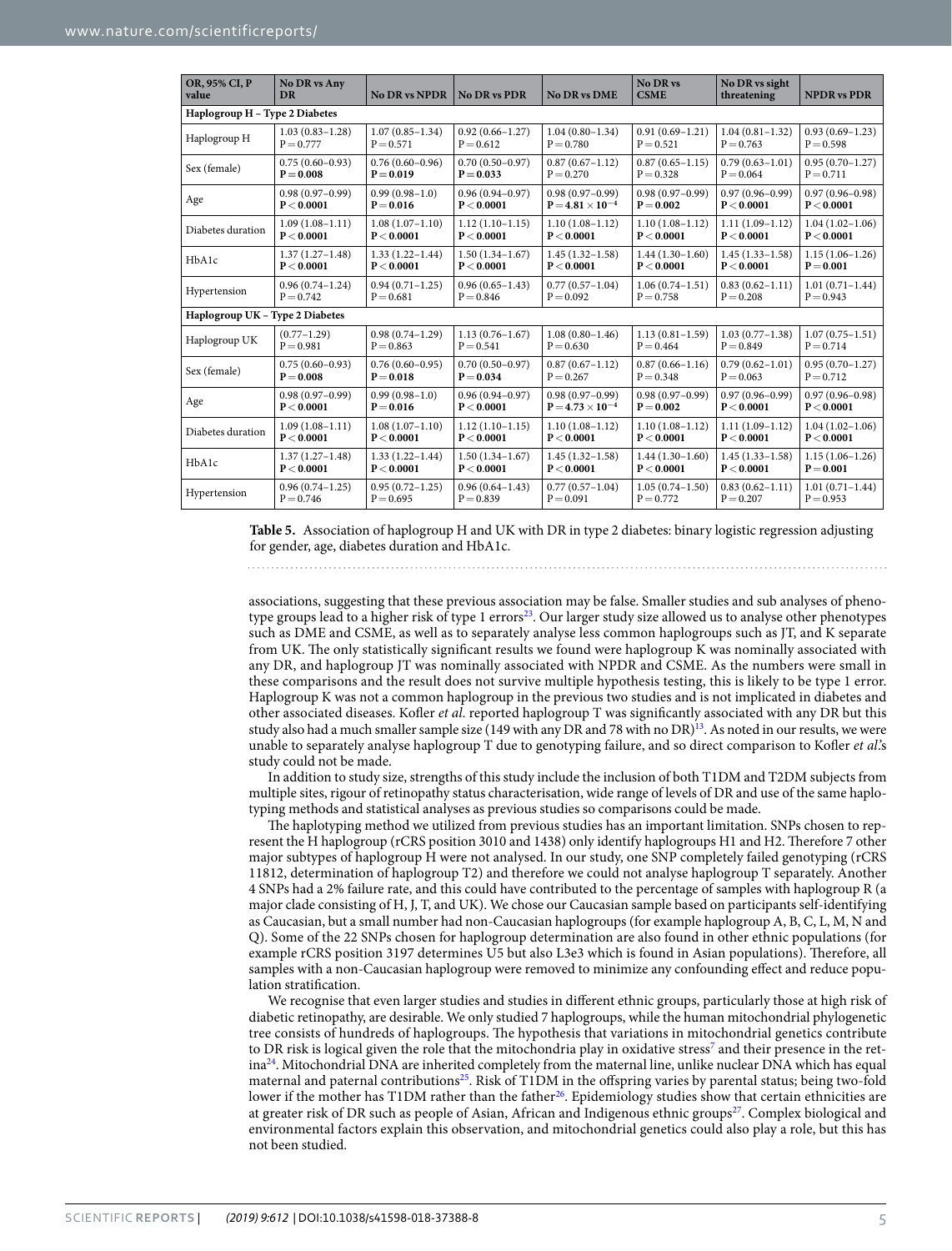<span id="page-4-0"></span>

| OR, 95% CI, P<br>value          | No DR vs Any<br><b>DR</b> | <b>No DR vs NPDR</b> | <b>No DR vs PDR</b> | <b>No DR vs DME</b>       | No DR vs<br><b>CSME</b> | No DR vs sight<br>threatening | <b>NPDR</b> vs PDR  |  |  |  |  |
|---------------------------------|---------------------------|----------------------|---------------------|---------------------------|-------------------------|-------------------------------|---------------------|--|--|--|--|
| Haplogroup H - Type 2 Diabetes  |                           |                      |                     |                           |                         |                               |                     |  |  |  |  |
| Haplogroup H                    | $1.03(0.83 - 1.28)$       | $1.07(0.85 - 1.34)$  | $0.92(0.66 - 1.27)$ | $1.04(0.80-1.34)$         | $0.91(0.69 - 1.21)$     | $1.04(0.81-1.32)$             | $0.93(0.69-1.23)$   |  |  |  |  |
|                                 | $P = 0.777$               | $P = 0.571$          | $P = 0.612$         | $P = 0.780$               | $P = 0.521$             | $P = 0.763$                   | $P = 0.598$         |  |  |  |  |
| Sex (female)                    | $0.75(0.60 - 0.93)$       | $0.76(0.60 - 0.96)$  | $0.70(0.50 - 0.97)$ | $0.87(0.67 - 1.12)$       | $0.87(0.65 - 1.15)$     | $0.79(0.63 - 1.01)$           | $0.95(0.70-1.27)$   |  |  |  |  |
|                                 | $P = 0.008$               | $P = 0.019$          | $P = 0.033$         | $P = 0.270$               | $P = 0.328$             | $P = 0.064$                   | $P = 0.711$         |  |  |  |  |
| Age                             | $0.98(0.97-0.99)$         | $0.99(0.98-1.0)$     | $0.96(0.94 - 0.97)$ | $0.98(0.97-0.99)$         | $0.98(0.97-0.99)$       | $0.97(0.96 - 0.99)$           | $0.97(0.96 - 0.98)$ |  |  |  |  |
|                                 | P < 0.0001                | $P = 0.016$          | P < 0.0001          | $P = 4.81 \times 10^{-4}$ | $P = 0.002$             | P < 0.0001                    | P < 0.0001          |  |  |  |  |
| Diabetes duration               | $1.09(1.08 - 1.11)$       | $1.08(1.07-1.10)$    | $1.12(1.10-1.15)$   | $1.10(1.08-1.12)$         | $1.10(1.08-1.12)$       | $1.11(1.09-1.12)$             | $1.04(1.02 - 1.06)$ |  |  |  |  |
|                                 | P < 0.0001                | P < 0.0001           | P < 0.0001          | P < 0.0001                | P < 0.0001              | P < 0.0001                    | P < 0.0001          |  |  |  |  |
| HbA1c                           | $1.37(1.27-1.48)$         | $1.33(1.22 - 1.44)$  | $1.50(1.34-1.67)$   | $1.45(1.32 - 1.58)$       | $1.44(1.30-1.60)$       | $1.45(1.33 - 1.58)$           | $1.15(1.06-1.26)$   |  |  |  |  |
|                                 | P < 0.0001                | P < 0.0001           | P < 0.0001          | P < 0.0001                | P < 0.0001              | P < 0.0001                    | $P = 0.001$         |  |  |  |  |
| Hypertension                    | $0.96(0.74 - 1.24)$       | $0.94(0.71 - 1.25)$  | $0.96(0.65 - 1.43)$ | $0.77(0.57-1.04)$         | $1.06(0.74-1.51)$       | $0.83(0.62 - 1.11)$           | $1.01(0.71-1.44)$   |  |  |  |  |
|                                 | $P = 0.742$               | $P = 0.681$          | $P = 0.846$         | $P = 0.092$               | $P = 0.758$             | $P = 0.208$                   | $P = 0.943$         |  |  |  |  |
| Haplogroup UK - Type 2 Diabetes |                           |                      |                     |                           |                         |                               |                     |  |  |  |  |
| Haplogroup UK                   | $(0.77 - 1.29)$           | $0.98(0.74 - 1.29)$  | $1.13(0.76 - 1.67)$ | $1.08(0.80-1.46)$         | $1.13(0.81 - 1.59)$     | $1.03(0.77-1.38)$             | $1.07(0.75-1.51)$   |  |  |  |  |
|                                 | $P = 0.981$               | $P = 0.863$          | $P = 0.541$         | $P = 0.630$               | $P = 0.464$             | $P = 0.849$                   | $P = 0.714$         |  |  |  |  |
| Sex (female)                    | $0.75(0.60 - 0.93)$       | $0.76(0.60 - 0.95)$  | $0.70(0.50 - 0.97)$ | $0.87(0.67 - 1.12)$       | $0.87(0.66 - 1.16)$     | $0.79(0.62 - 1.01)$           | $0.95(0.70-1.27)$   |  |  |  |  |
|                                 | $P = 0.008$               | $P = 0.018$          | $P = 0.034$         | $P = 0.267$               | $P = 0.348$             | $P = 0.063$                   | $P = 0.712$         |  |  |  |  |
| Age                             | $0.98(0.97-0.99)$         | $0.99(0.98-1.0)$     | $0.96(0.94 - 0.97)$ | $0.98(0.97-0.99)$         | $0.98(0.97-0.99)$       | $0.97(0.96 - 0.99)$           | $0.97(0.96 - 0.98)$ |  |  |  |  |
|                                 | P < 0.0001                | $P = 0.016$          | P < 0.0001          | $P = 4.73 \times 10^{-4}$ | $P = 0.002$             | P < 0.0001                    | P < 0.0001          |  |  |  |  |
| Diabetes duration               | $1.09(1.08-1.11)$         | $1.08(1.07-1.10)$    | $1.12(1.10-1.15)$   | $1.10(1.08-1.12)$         | $1.10(1.08-1.12)$       | $1.11(1.09-1.12)$             | $1.04(1.02-1.06)$   |  |  |  |  |
|                                 | P < 0.0001                | P < 0.0001           | P < 0.0001          | P < 0.0001                | P < 0.0001              | P < 0.0001                    | P < 0.0001          |  |  |  |  |
| HbA1c                           | $1.37(1.27-1.48)$         | $1.33(1.22 - 1.44)$  | $1.50(1.34 - 1.67)$ | $1.45(1.32 - 1.58)$       | $1.44(1.30-1.60)$       | $1.45(1.33 - 1.58)$           | $1.15(1.06-1.26)$   |  |  |  |  |
|                                 | P < 0.0001                | P < 0.0001           | P < 0.0001          | P < 0.0001                | P < 0.0001              | P < 0.0001                    | $P = 0.001$         |  |  |  |  |
| Hypertension                    | $0.96(0.74 - 1.25)$       | $0.95(0.72 - 1.25)$  | $0.96(0.64 - 1.43)$ | $0.77(0.57-1.04)$         | $1.05(0.74-1.50)$       | $0.83(0.62 - 1.11)$           | $1.01(0.71-1.44)$   |  |  |  |  |
|                                 | $P = 0.746$               | $P = 0.695$          | $P = 0.839$         | $P = 0.091$               | $P = 0.772$             | $P = 0.207$                   | $P = 0.953$         |  |  |  |  |

**Table 5.** Association of haplogroup H and UK with DR in type 2 diabetes: binary logistic regression adjusting for gender, age, diabetes duration and HbA1c.

associations, suggesting that these previous association may be false. Smaller studies and sub analyses of pheno-type groups lead to a higher risk of type 1 errors<sup>[23](#page-5-21)</sup>. Our larger study size allowed us to analyse other phenotypes such as DME and CSME, as well as to separately analyse less common haplogroups such as JT, and K separate from UK. The only statistically significant results we found were haplogroup K was nominally associated with any DR, and haplogroup JT was nominally associated with NPDR and CSME. As the numbers were small in these comparisons and the result does not survive multiple hypothesis testing, this is likely to be type 1 error. Haplogroup K was not a common haplogroup in the previous two studies and is not implicated in diabetes and other associated diseases. Kofer *et al*. reported haplogroup T was signifcantly associated with any DR but this study also had a much smaller sample size (149 with any DR and 78 with no DR)<sup>[13](#page-5-11)</sup>. As noted in our results, we were unable to separately analyse haplogroup T due to genotyping failure, and so direct comparison to Kofer *et al*.'s study could not be made.

In addition to study size, strengths of this study include the inclusion of both T1DM and T2DM subjects from multiple sites, rigour of retinopathy status characterisation, wide range of levels of DR and use of the same haplotyping methods and statistical analyses as previous studies so comparisons could be made.

The haplotyping method we utilized from previous studies has an important limitation. SNPs chosen to represent the H haplogroup (rCRS position 3010 and 1438) only identify haplogroups H1 and H2. Therefore 7 other major subtypes of haplogroup H were not analysed. In our study, one SNP completely failed genotyping (rCRS 11812, determination of haplogroup T2) and therefore we could not analyse haplogroup T separately. Another 4 SNPs had a 2% failure rate, and this could have contributed to the percentage of samples with haplogroup R (a major clade consisting of H, J, T, and UK). We chose our Caucasian sample based on participants self-identifying as Caucasian, but a small number had non-Caucasian haplogroups (for example haplogroup A, B, C, L, M, N and Q). Some of the 22 SNPs chosen for haplogroup determination are also found in other ethnic populations (for example rCRS position 3197 determines U5 but also L3e3 which is found in Asian populations). Therefore, all samples with a non-Caucasian haplogroup were removed to minimize any confounding efect and reduce population stratifcation.

We recognise that even larger studies and studies in diferent ethnic groups, particularly those at high risk of diabetic retinopathy, are desirable. We only studied 7 haplogroups, while the human mitochondrial phylogenetic tree consists of hundreds of haplogroups. The hypothesis that variations in mitochondrial genetics contribute to DR risk is logical given the role that the mitochondria play in oxidative stress<sup>7</sup> and their presence in the ret $i$ na<sup>24</sup>. Mitochondrial DNA are inherited completely from the maternal line, unlike nuclear DNA which has equal maternal and paternal contributions[25](#page-6-0). Risk of T1DM in the ofspring varies by parental status; being two-fold lower if the mother has T1DM rather than the father<sup>[26](#page-6-1)</sup>. Epidemiology studies show that certain ethnicities are at greater risk of DR such as people of Asian, African and Indigenous ethnic groups<sup>27</sup>. Complex biological and environmental factors explain this observation, and mitochondrial genetics could also play a role, but this has not been studied.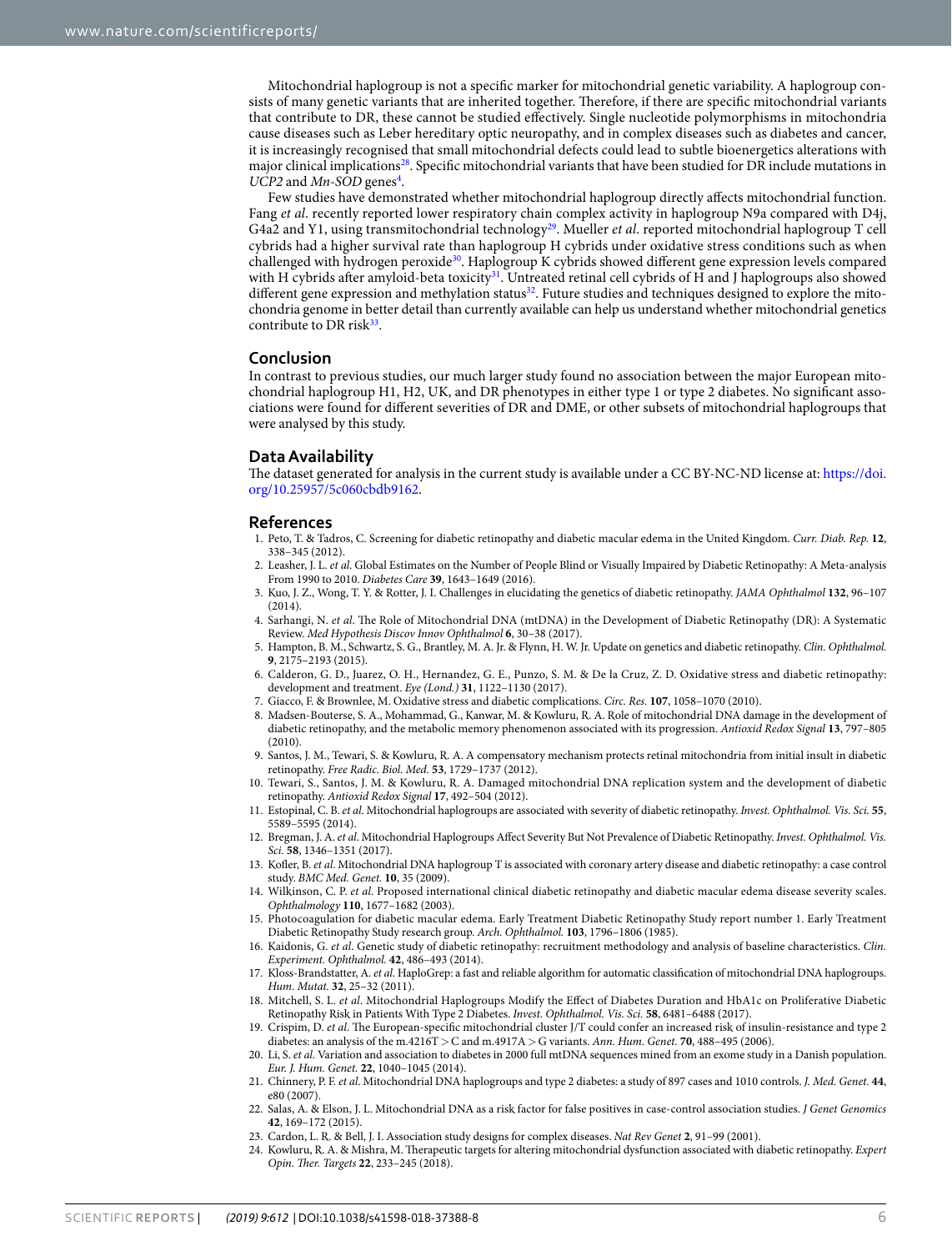Mitochondrial haplogroup is not a specifc marker for mitochondrial genetic variability. A haplogroup consists of many genetic variants that are inherited together. Therefore, if there are specific mitochondrial variants that contribute to DR, these cannot be studied efectively. Single nucleotide polymorphisms in mitochondria cause diseases such as Leber hereditary optic neuropathy, and in complex diseases such as diabetes and cancer, it is increasingly recognised that small mitochondrial defects could lead to subtle bioenergetics alterations with major clinical implications[28](#page-6-3). Specifc mitochondrial variants that have been studied for DR include mutations in UCP2 and *Mn*-SOD genes<sup>4</sup>.

Few studies have demonstrated whether mitochondrial haplogroup directly affects mitochondrial function. Fang *et al*. recently reported lower respiratory chain complex activity in haplogroup N9a compared with D4j, G4a2 and Y1, using transmitochondrial technology<sup>[29](#page-6-4)</sup>. Mueller *et al.* reported mitochondrial haplogroup T cell cybrids had a higher survival rate than haplogroup H cybrids under oxidative stress conditions such as when challenged with hydrogen peroxide[30.](#page-6-5) Haplogroup K cybrids showed diferent gene expression levels compared with H cybrids after amyloid-beta toxicity<sup>31</sup>. Untreated retinal cell cybrids of H and J haplogroups also showed different gene expression and methylation status<sup>32</sup>. Future studies and techniques designed to explore the mitochondria genome in better detail than currently available can help us understand whether mitochondrial genetics contribute to DR risk $33$ .

#### **Conclusion**

In contrast to previous studies, our much larger study found no association between the major European mitochondrial haplogroup H1, H2, UK, and DR phenotypes in either type 1 or type 2 diabetes. No signifcant associations were found for diferent severities of DR and DME, or other subsets of mitochondrial haplogroups that were analysed by this study.

#### **Data Availability**

The dataset generated for analysis in the current study is available under a CC BY-NC-ND license at: [https://doi.](http://dx.doi.org/10.25957/5c060cbdb9162) [org/10.25957/5c060cbdb9162.](http://dx.doi.org/10.25957/5c060cbdb9162)

#### **References**

- <span id="page-5-0"></span>1. Peto, T. & Tadros, C. Screening for diabetic retinopathy and diabetic macular edema in the United Kingdom. *Curr. Diab. Rep.* **12**, 338–345 (2012).
- <span id="page-5-1"></span>2. Leasher, J. L. *et al*. Global Estimates on the Number of People Blind or Visually Impaired by Diabetic Retinopathy: A Meta-analysis From 1990 to 2010. *Diabetes Care* **39**, 1643–1649 (2016).
- <span id="page-5-2"></span>3. Kuo, J. Z., Wong, T. Y. & Rotter, J. I. Challenges in elucidating the genetics of diabetic retinopathy. *JAMA Ophthalmol* **132**, 96–107  $(2014)$
- <span id="page-5-3"></span>4. Sarhangi, N. et al. The Role of Mitochondrial DNA (mtDNA) in the Development of Diabetic Retinopathy (DR): A Systematic Review. *Med Hypothesis Discov Innov Ophthalmol* **6**, 30–38 (2017).
- <span id="page-5-4"></span>5. Hampton, B. M., Schwartz, S. G., Brantley, M. A. Jr. & Flynn, H. W. Jr. Update on genetics and diabetic retinopathy. *Clin. Ophthalmol.* **9**, 2175–2193 (2015).
- <span id="page-5-5"></span>6. Calderon, G. D., Juarez, O. H., Hernandez, G. E., Punzo, S. M. & De la Cruz, Z. D. Oxidative stress and diabetic retinopathy: development and treatment. *Eye (Lond.)* **31**, 1122–1130 (2017).
- <span id="page-5-6"></span>7. Giacco, F. & Brownlee, M. Oxidative stress and diabetic complications. *Circ. Res.* **107**, 1058–1070 (2010).
- <span id="page-5-7"></span>8. Madsen-Bouterse, S. A., Mohammad, G., Kanwar, M. & Kowluru, R. A. Role of mitochondrial DNA damage in the development of diabetic retinopathy, and the metabolic memory phenomenon associated with its progression. *Antioxid Redox Signal* **13**, 797–805  $(2010)$
- 9. Santos, J. M., Tewari, S. & Kowluru, R. A. A compensatory mechanism protects retinal mitochondria from initial insult in diabetic retinopathy. *Free Radic. Biol. Med.* **53**, 1729–1737 (2012).
- <span id="page-5-8"></span>10. Tewari, S., Santos, J. M. & Kowluru, R. A. Damaged mitochondrial DNA replication system and the development of diabetic retinopathy. *Antioxid Redox Signal* **17**, 492–504 (2012).
- <span id="page-5-9"></span>11. Estopinal, C. B. *et al*. Mitochondrial haplogroups are associated with severity of diabetic retinopathy. *Invest. Ophthalmol. Vis. Sci.* **55**, 5589–5595 (2014).
- <span id="page-5-10"></span>12. Bregman, J. A. *et al*. Mitochondrial Haplogroups Afect Severity But Not Prevalence of Diabetic Retinopathy. *Invest. Ophthalmol. Vis. Sci.* **58**, 1346–1351 (2017).
- <span id="page-5-11"></span>13. Kofer, B. *et al*. Mitochondrial DNA haplogroup T is associated with coronary artery disease and diabetic retinopathy: a case control study. *BMC Med. Genet.* **10**, 35 (2009).
- <span id="page-5-12"></span>14. Wilkinson, C. P. *et al*. Proposed international clinical diabetic retinopathy and diabetic macular edema disease severity scales. *Ophthalmology* **110**, 1677–1682 (2003).
- <span id="page-5-13"></span>15. Photocoagulation for diabetic macular edema. Early Treatment Diabetic Retinopathy Study report number 1. Early Treatment Diabetic Retinopathy Study research group. *Arch. Ophthalmol.* **103**, 1796–1806 (1985).
- <span id="page-5-14"></span>16. Kaidonis, G. *et al*. Genetic study of diabetic retinopathy: recruitment methodology and analysis of baseline characteristics. *Clin. Experiment. Ophthalmol.* **42**, 486–493 (2014).
- <span id="page-5-15"></span>17. Kloss-Brandstatter, A. *et al*. HaploGrep: a fast and reliable algorithm for automatic classifcation of mitochondrial DNA haplogroups. *Hum. Mutat.* **32**, 25–32 (2011).
- <span id="page-5-16"></span>18. Mitchell, S. L. *et al*. Mitochondrial Haplogroups Modify the Efect of Diabetes Duration and HbA1c on Proliferative Diabetic Retinopathy Risk in Patients With Type 2 Diabetes. *Invest. Ophthalmol. Vis. Sci.* **58**, 6481–6488 (2017).
- <span id="page-5-17"></span>19. Crispim, D. et al. The European-specific mitochondrial cluster J/T could confer an increased risk of insulin-resistance and type 2 diabetes: an analysis of the m.4216T>C and m.4917A>G variants. *Ann. Hum. Genet.* **70**, 488–495 (2006).
- <span id="page-5-18"></span>20. Li, S. *et al*. Variation and association to diabetes in 2000 full mtDNA sequences mined from an exome study in a Danish population. *Eur. J. Hum. Genet.* **22**, 1040–1045 (2014).
- <span id="page-5-19"></span>21. Chinnery, P. F. *et al*. Mitochondrial DNA haplogroups and type 2 diabetes: a study of 897 cases and 1010 controls. *J. Med. Genet.* **44**, e80 (2007).
- <span id="page-5-20"></span>22. Salas, A. & Elson, J. L. Mitochondrial DNA as a risk factor for false positives in case-control association studies. *J Genet Genomics* **42**, 169–172 (2015).
- <span id="page-5-21"></span>23. Cardon, L. R. & Bell, J. I. Association study designs for complex diseases. *Nat Rev Genet* **2**, 91–99 (2001).
- <span id="page-5-22"></span>24. Kowluru, R. A. & Mishra, M. Terapeutic targets for altering mitochondrial dysfunction associated with diabetic retinopathy. *Expert Opin. Ter. Targets* **22**, 233–245 (2018).